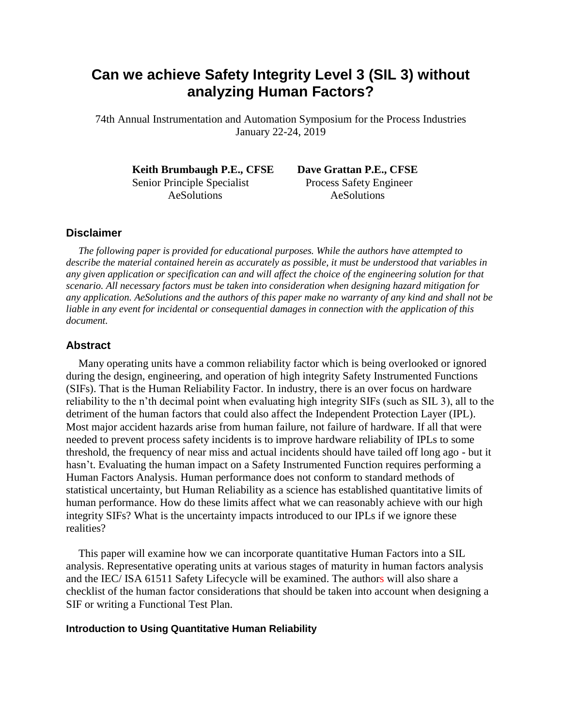# **Can we achieve Safety Integrity Level 3 (SIL 3) without analyzing Human Factors?**

74th Annual Instrumentation and Automation Symposium for the Process Industries January 22-24, 2019

**Keith Brumbaugh P.E., CFSE Dave Grattan P.E., CFSE** Senior Principle Specialist Process Safety Engineer AeSolutions AeSolutions

### **Disclaimer**

*The following paper is provided for educational purposes. While the authors have attempted to describe the material contained herein as accurately as possible, it must be understood that variables in any given application or specification can and will affect the choice of the engineering solution for that scenario. All necessary factors must be taken into consideration when designing hazard mitigation for any application. AeSolutions and the authors of this paper make no warranty of any kind and shall not be liable in any event for incidental or consequential damages in connection with the application of this document.*

#### **Abstract**

Many operating units have a common reliability factor which is being overlooked or ignored during the design, engineering, and operation of high integrity Safety Instrumented Functions (SIFs). That is the Human Reliability Factor. In industry, there is an over focus on hardware reliability to the n'th decimal point when evaluating high integrity SIFs (such as SIL 3), all to the detriment of the human factors that could also affect the Independent Protection Layer (IPL). Most major accident hazards arise from human failure, not failure of hardware. If all that were needed to prevent process safety incidents is to improve hardware reliability of IPLs to some threshold, the frequency of near miss and actual incidents should have tailed off long ago - but it hasn't. Evaluating the human impact on a Safety Instrumented Function requires performing a Human Factors Analysis. Human performance does not conform to standard methods of statistical uncertainty, but Human Reliability as a science has established quantitative limits of human performance. How do these limits affect what we can reasonably achieve with our high integrity SIFs? What is the uncertainty impacts introduced to our IPLs if we ignore these realities?

This paper will examine how we can incorporate quantitative Human Factors into a SIL analysis. Representative operating units at various stages of maturity in human factors analysis and the IEC/ ISA 61511 Safety Lifecycle will be examined. The authors will also share a checklist of the human factor considerations that should be taken into account when designing a SIF or writing a Functional Test Plan.

#### **Introduction to Using Quantitative Human Reliability**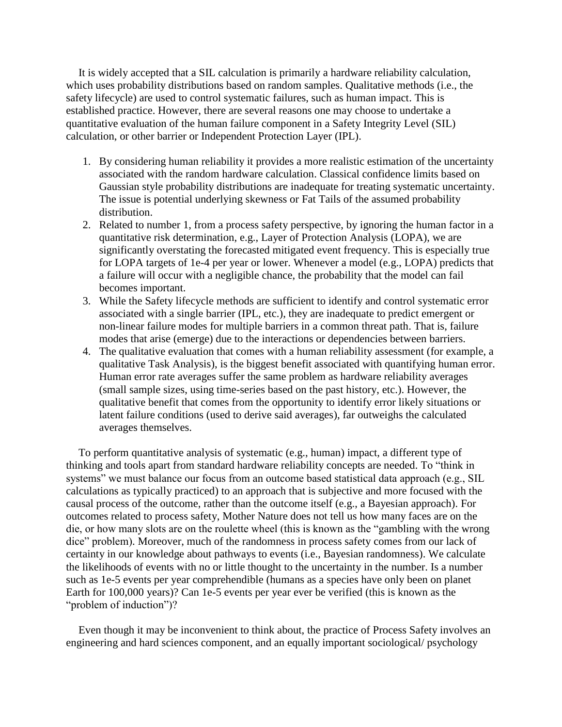It is widely accepted that a SIL calculation is primarily a hardware reliability calculation, which uses probability distributions based on random samples. Qualitative methods (i.e., the safety lifecycle) are used to control systematic failures, such as human impact. This is established practice. However, there are several reasons one may choose to undertake a quantitative evaluation of the human failure component in a Safety Integrity Level (SIL) calculation, or other barrier or Independent Protection Layer (IPL).

- 1. By considering human reliability it provides a more realistic estimation of the uncertainty associated with the random hardware calculation. Classical confidence limits based on Gaussian style probability distributions are inadequate for treating systematic uncertainty. The issue is potential underlying skewness or Fat Tails of the assumed probability distribution.
- 2. Related to number 1, from a process safety perspective, by ignoring the human factor in a quantitative risk determination, e.g., Layer of Protection Analysis (LOPA), we are significantly overstating the forecasted mitigated event frequency. This is especially true for LOPA targets of 1e-4 per year or lower. Whenever a model (e.g., LOPA) predicts that a failure will occur with a negligible chance, the probability that the model can fail becomes important.
- 3. While the Safety lifecycle methods are sufficient to identify and control systematic error associated with a single barrier (IPL, etc.), they are inadequate to predict emergent or non-linear failure modes for multiple barriers in a common threat path. That is, failure modes that arise (emerge) due to the interactions or dependencies between barriers.
- 4. The qualitative evaluation that comes with a human reliability assessment (for example, a qualitative Task Analysis), is the biggest benefit associated with quantifying human error. Human error rate averages suffer the same problem as hardware reliability averages (small sample sizes, using time-series based on the past history, etc.). However, the qualitative benefit that comes from the opportunity to identify error likely situations or latent failure conditions (used to derive said averages), far outweighs the calculated averages themselves.

To perform quantitative analysis of systematic (e.g., human) impact, a different type of thinking and tools apart from standard hardware reliability concepts are needed. To "think in systems" we must balance our focus from an outcome based statistical data approach (e.g., SIL calculations as typically practiced) to an approach that is subjective and more focused with the causal process of the outcome, rather than the outcome itself (e.g., a Bayesian approach). For outcomes related to process safety, Mother Nature does not tell us how many faces are on the die, or how many slots are on the roulette wheel (this is known as the "gambling with the wrong dice" problem). Moreover, much of the randomness in process safety comes from our lack of certainty in our knowledge about pathways to events (i.e., Bayesian randomness). We calculate the likelihoods of events with no or little thought to the uncertainty in the number. Is a number such as 1e-5 events per year comprehendible (humans as a species have only been on planet Earth for 100,000 years)? Can 1e-5 events per year ever be verified (this is known as the "problem of induction")?

Even though it may be inconvenient to think about, the practice of Process Safety involves an engineering and hard sciences component, and an equally important sociological/ psychology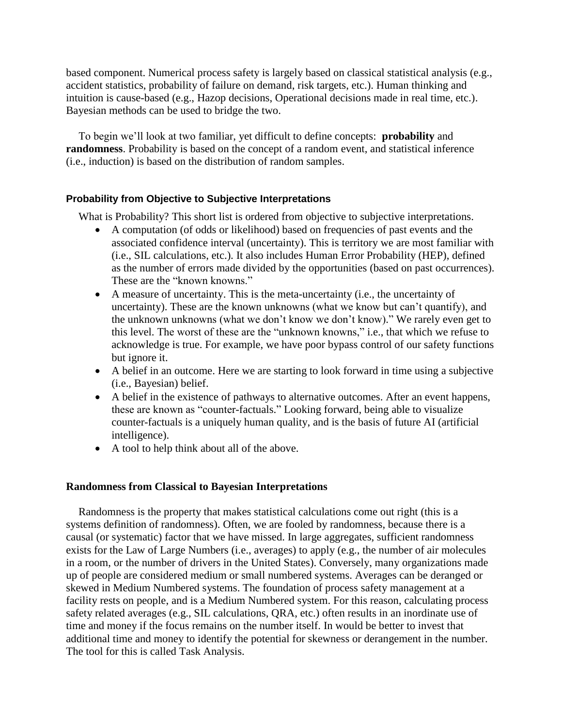based component. Numerical process safety is largely based on classical statistical analysis (e.g., accident statistics, probability of failure on demand, risk targets, etc.). Human thinking and intuition is cause-based (e.g., Hazop decisions, Operational decisions made in real time, etc.). Bayesian methods can be used to bridge the two.

To begin we'll look at two familiar, yet difficult to define concepts: **probability** and **randomness**. Probability is based on the concept of a random event, and statistical inference (i.e., induction) is based on the distribution of random samples.

## **Probability from Objective to Subjective Interpretations**

What is Probability? This short list is ordered from objective to subjective interpretations.

- A computation (of odds or likelihood) based on frequencies of past events and the associated confidence interval (uncertainty). This is territory we are most familiar with (i.e., SIL calculations, etc.). It also includes Human Error Probability (HEP), defined as the number of errors made divided by the opportunities (based on past occurrences). These are the "known knowns."
- A measure of uncertainty. This is the meta-uncertainty (i.e., the uncertainty of uncertainty). These are the known unknowns (what we know but can't quantify), and the unknown unknowns (what we don't know we don't know)." We rarely even get to this level. The worst of these are the "unknown knowns," i.e., that which we refuse to acknowledge is true. For example, we have poor bypass control of our safety functions but ignore it.
- A belief in an outcome. Here we are starting to look forward in time using a subjective (i.e., Bayesian) belief.
- A belief in the existence of pathways to alternative outcomes. After an event happens, these are known as "counter-factuals." Looking forward, being able to visualize counter-factuals is a uniquely human quality, and is the basis of future AI (artificial intelligence).
- A tool to help think about all of the above.

## **Randomness from Classical to Bayesian Interpretations**

Randomness is the property that makes statistical calculations come out right (this is a systems definition of randomness). Often, we are fooled by randomness, because there is a causal (or systematic) factor that we have missed. In large aggregates, sufficient randomness exists for the Law of Large Numbers (i.e., averages) to apply (e.g., the number of air molecules in a room, or the number of drivers in the United States). Conversely, many organizations made up of people are considered medium or small numbered systems. Averages can be deranged or skewed in Medium Numbered systems. The foundation of process safety management at a facility rests on people, and is a Medium Numbered system. For this reason, calculating process safety related averages (e.g., SIL calculations, QRA, etc.) often results in an inordinate use of time and money if the focus remains on the number itself. In would be better to invest that additional time and money to identify the potential for skewness or derangement in the number. The tool for this is called Task Analysis.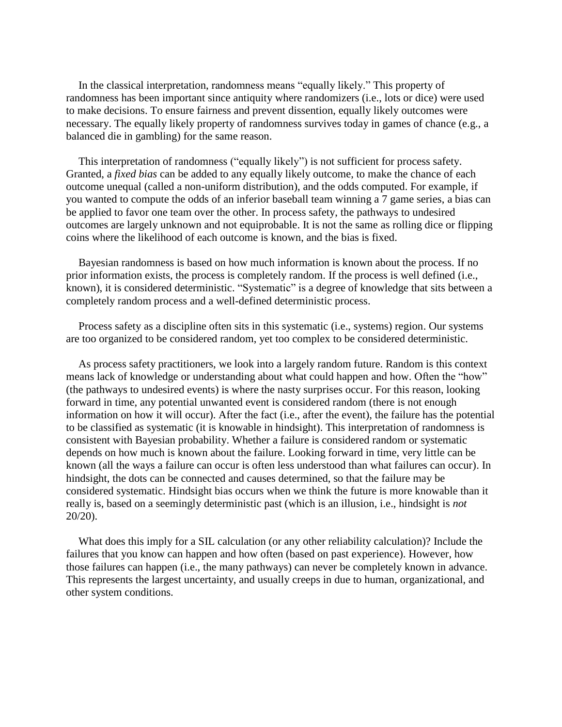In the classical interpretation, randomness means "equally likely." This property of randomness has been important since antiquity where randomizers (i.e., lots or dice) were used to make decisions. To ensure fairness and prevent dissention, equally likely outcomes were necessary. The equally likely property of randomness survives today in games of chance (e.g., a balanced die in gambling) for the same reason.

This interpretation of randomness ("equally likely") is not sufficient for process safety. Granted, a *fixed bias* can be added to any equally likely outcome, to make the chance of each outcome unequal (called a non-uniform distribution), and the odds computed. For example, if you wanted to compute the odds of an inferior baseball team winning a 7 game series, a bias can be applied to favor one team over the other. In process safety, the pathways to undesired outcomes are largely unknown and not equiprobable. It is not the same as rolling dice or flipping coins where the likelihood of each outcome is known, and the bias is fixed.

Bayesian randomness is based on how much information is known about the process. If no prior information exists, the process is completely random. If the process is well defined (i.e., known), it is considered deterministic. "Systematic" is a degree of knowledge that sits between a completely random process and a well-defined deterministic process.

Process safety as a discipline often sits in this systematic (i.e., systems) region. Our systems are too organized to be considered random, yet too complex to be considered deterministic.

As process safety practitioners, we look into a largely random future. Random is this context means lack of knowledge or understanding about what could happen and how. Often the "how" (the pathways to undesired events) is where the nasty surprises occur. For this reason, looking forward in time, any potential unwanted event is considered random (there is not enough information on how it will occur). After the fact (i.e., after the event), the failure has the potential to be classified as systematic (it is knowable in hindsight). This interpretation of randomness is consistent with Bayesian probability. Whether a failure is considered random or systematic depends on how much is known about the failure. Looking forward in time, very little can be known (all the ways a failure can occur is often less understood than what failures can occur). In hindsight, the dots can be connected and causes determined, so that the failure may be considered systematic. Hindsight bias occurs when we think the future is more knowable than it really is, based on a seemingly deterministic past (which is an illusion, i.e., hindsight is *not* 20/20).

What does this imply for a SIL calculation (or any other reliability calculation)? Include the failures that you know can happen and how often (based on past experience). However, how those failures can happen (i.e., the many pathways) can never be completely known in advance. This represents the largest uncertainty, and usually creeps in due to human, organizational, and other system conditions.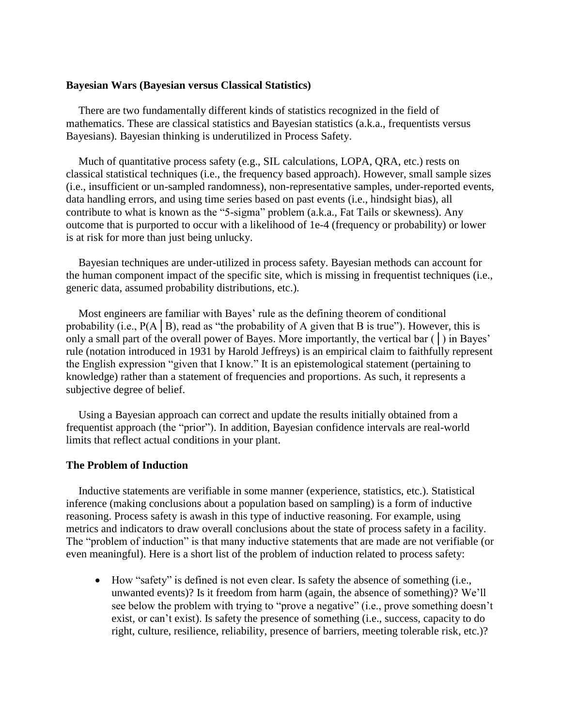#### **Bayesian Wars (Bayesian versus Classical Statistics)**

There are two fundamentally different kinds of statistics recognized in the field of mathematics. These are classical statistics and Bayesian statistics (a.k.a., frequentists versus Bayesians). Bayesian thinking is underutilized in Process Safety.

Much of quantitative process safety (e.g., SIL calculations, LOPA, QRA, etc.) rests on classical statistical techniques (i.e., the frequency based approach). However, small sample sizes (i.e., insufficient or un-sampled randomness), non-representative samples, under-reported events, data handling errors, and using time series based on past events (i.e., hindsight bias), all contribute to what is known as the "5-sigma" problem (a.k.a., Fat Tails or skewness). Any outcome that is purported to occur with a likelihood of 1e-4 (frequency or probability) or lower is at risk for more than just being unlucky.

Bayesian techniques are under-utilized in process safety. Bayesian methods can account for the human component impact of the specific site, which is missing in frequentist techniques (i.e., generic data, assumed probability distributions, etc.).

Most engineers are familiar with Bayes' rule as the defining theorem of conditional probability (i.e.,  $P(A \mid B)$ , read as "the probability of A given that B is true"). However, this is only a small part of the overall power of Bayes. More importantly, the vertical bar (│) in Bayes' rule (notation introduced in 1931 by Harold Jeffreys) is an empirical claim to faithfully represent the English expression "given that I know." It is an epistemological statement (pertaining to knowledge) rather than a statement of frequencies and proportions. As such, it represents a subjective degree of belief.

Using a Bayesian approach can correct and update the results initially obtained from a frequentist approach (the "prior"). In addition, Bayesian confidence intervals are real-world limits that reflect actual conditions in your plant.

#### **The Problem of Induction**

Inductive statements are verifiable in some manner (experience, statistics, etc.). Statistical inference (making conclusions about a population based on sampling) is a form of inductive reasoning. Process safety is awash in this type of inductive reasoning. For example, using metrics and indicators to draw overall conclusions about the state of process safety in a facility. The "problem of induction" is that many inductive statements that are made are not verifiable (or even meaningful). Here is a short list of the problem of induction related to process safety:

• How "safety" is defined is not even clear. Is safety the absence of something (i.e., unwanted events)? Is it freedom from harm (again, the absence of something)? We'll see below the problem with trying to "prove a negative" (i.e., prove something doesn't exist, or can't exist). Is safety the presence of something (i.e., success, capacity to do right, culture, resilience, reliability, presence of barriers, meeting tolerable risk, etc.)?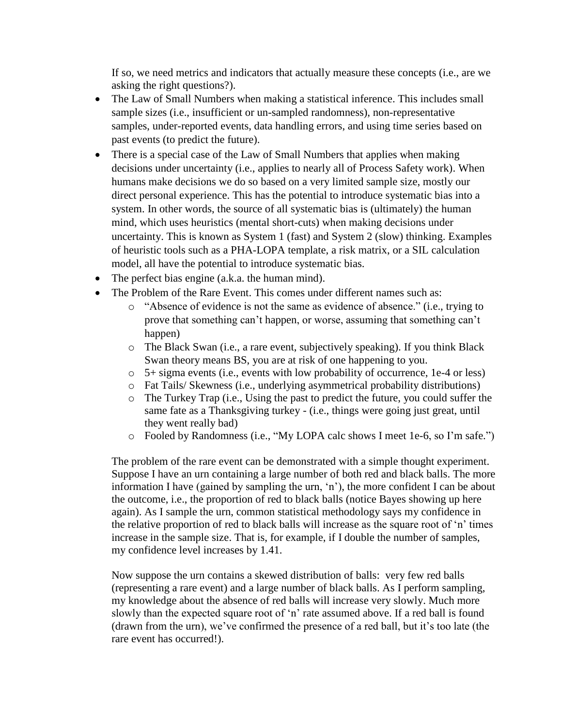If so, we need metrics and indicators that actually measure these concepts (i.e., are we asking the right questions?).

- The Law of Small Numbers when making a statistical inference. This includes small sample sizes (i.e., insufficient or un-sampled randomness), non-representative samples, under-reported events, data handling errors, and using time series based on past events (to predict the future).
- There is a special case of the Law of Small Numbers that applies when making decisions under uncertainty (i.e., applies to nearly all of Process Safety work). When humans make decisions we do so based on a very limited sample size, mostly our direct personal experience. This has the potential to introduce systematic bias into a system. In other words, the source of all systematic bias is (ultimately) the human mind, which uses heuristics (mental short-cuts) when making decisions under uncertainty. This is known as System 1 (fast) and System 2 (slow) thinking. Examples of heuristic tools such as a PHA-LOPA template, a risk matrix, or a SIL calculation model, all have the potential to introduce systematic bias.
- The perfect bias engine (a.k.a. the human mind).
- The Problem of the Rare Event. This comes under different names such as:
	- o "Absence of evidence is not the same as evidence of absence." (i.e., trying to prove that something can't happen, or worse, assuming that something can't happen)
	- o The Black Swan (i.e., a rare event, subjectively speaking). If you think Black Swan theory means BS, you are at risk of one happening to you.
	- o 5+ sigma events (i.e., events with low probability of occurrence, 1e-4 or less)
	- o Fat Tails/ Skewness (i.e., underlying asymmetrical probability distributions)
	- o The Turkey Trap (i.e., Using the past to predict the future, you could suffer the same fate as a Thanksgiving turkey - (i.e., things were going just great, until they went really bad)
	- o Fooled by Randomness (i.e., "My LOPA calc shows I meet 1e-6, so I'm safe.")

The problem of the rare event can be demonstrated with a simple thought experiment. Suppose I have an urn containing a large number of both red and black balls. The more information I have (gained by sampling the urn, 'n'), the more confident I can be about the outcome, i.e., the proportion of red to black balls (notice Bayes showing up here again). As I sample the urn, common statistical methodology says my confidence in the relative proportion of red to black balls will increase as the square root of 'n' times increase in the sample size. That is, for example, if I double the number of samples, my confidence level increases by 1.41.

Now suppose the urn contains a skewed distribution of balls: very few red balls (representing a rare event) and a large number of black balls. As I perform sampling, my knowledge about the absence of red balls will increase very slowly. Much more slowly than the expected square root of 'n' rate assumed above. If a red ball is found (drawn from the urn), we've confirmed the presence of a red ball, but it's too late (the rare event has occurred!).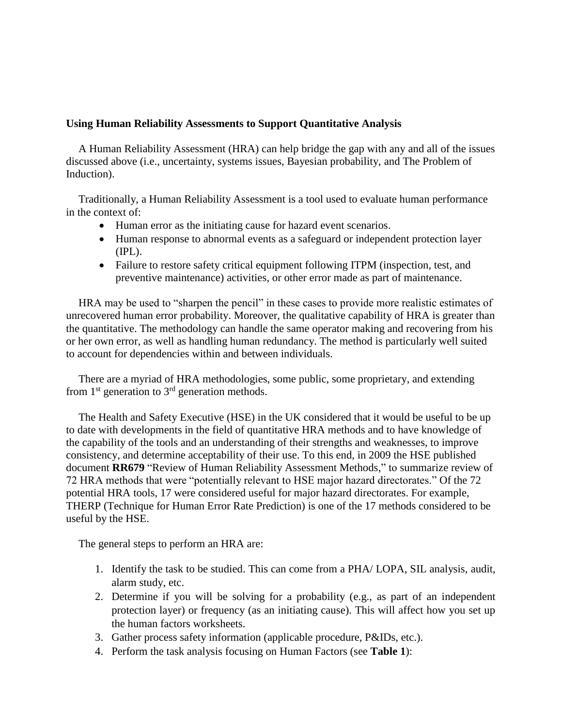## **Using Human Reliability Assessments to Support Quantitative Analysis**

A Human Reliability Assessment (HRA) can help bridge the gap with any and all of the issues discussed above (i.e., uncertainty, systems issues, Bayesian probability, and The Problem of Induction).

Traditionally, a Human Reliability Assessment is a tool used to evaluate human performance in the context of:

- Human error as the initiating cause for hazard event scenarios.
- Human response to abnormal events as a safeguard or independent protection layer (IPL).
- Failure to restore safety critical equipment following ITPM (inspection, test, and preventive maintenance) activities, or other error made as part of maintenance.

HRA may be used to "sharpen the pencil" in these cases to provide more realistic estimates of unrecovered human error probability. Moreover, the qualitative capability of HRA is greater than the quantitative. The methodology can handle the same operator making and recovering from his or her own error, as well as handling human redundancy. The method is particularly well suited to account for dependencies within and between individuals.

There are a myriad of HRA methodologies, some public, some proprietary, and extending from  $1<sup>st</sup>$  generation to  $3<sup>rd</sup>$  generation methods.

The Health and Safety Executive (HSE) in the UK considered that it would be useful to be up to date with developments in the field of quantitative HRA methods and to have knowledge of the capability of the tools and an understanding of their strengths and weaknesses, to improve consistency, and determine acceptability of their use. To this end, in 2009 the HSE published document **RR679** "Review of Human Reliability Assessment Methods," to summarize review of 72 HRA methods that were "potentially relevant to HSE major hazard directorates." Of the 72 potential HRA tools, 17 were considered useful for major hazard directorates. For example, THERP (Technique for Human Error Rate Prediction) is one of the 17 methods considered to be useful by the HSE.

The general steps to perform an HRA are:

- 1. Identify the task to be studied. This can come from a PHA/ LOPA, SIL analysis, audit, alarm study, etc.
- 2. Determine if you will be solving for a probability (e.g., as part of an independent protection layer) or frequency (as an initiating cause). This will affect how you set up the human factors worksheets.
- 3. Gather process safety information (applicable procedure, P&IDs, etc.).
- 4. Perform the task analysis focusing on Human Factors (see **Table 1**):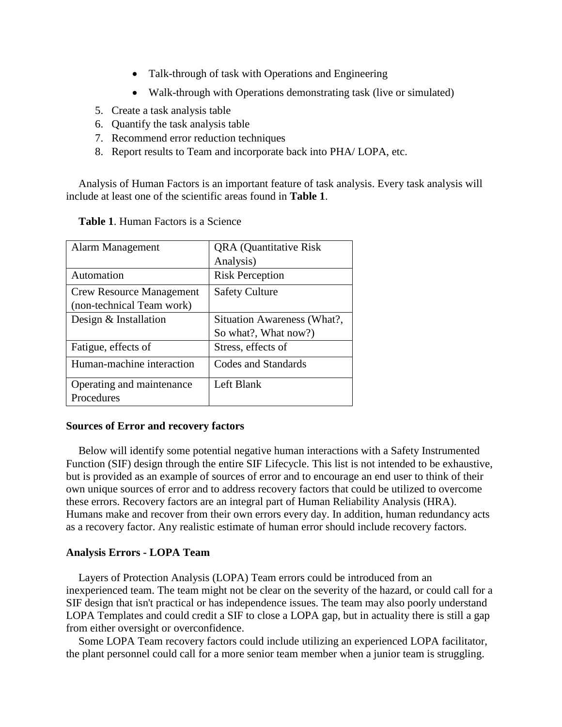- Talk-through of task with Operations and Engineering
- Walk-through with Operations demonstrating task (live or simulated)
- 5. Create a task analysis table
- 6. Quantify the task analysis table
- 7. Recommend error reduction techniques
- 8. Report results to Team and incorporate back into PHA/ LOPA, etc.

Analysis of Human Factors is an important feature of task analysis. Every task analysis will include at least one of the scientific areas found in **Table 1**.

| Alarm Management                | <b>QRA</b> (Quantitative Risk) |
|---------------------------------|--------------------------------|
|                                 | Analysis)                      |
| Automation                      | <b>Risk Perception</b>         |
| <b>Crew Resource Management</b> | <b>Safety Culture</b>          |
| (non-technical Team work)       |                                |
| Design & Installation           | Situation Awareness (What?,    |
|                                 | So what?, What now?)           |
| Fatigue, effects of             | Stress, effects of             |
| Human-machine interaction       | <b>Codes and Standards</b>     |
| Operating and maintenance       | Left Blank                     |
| Procedures                      |                                |

**Table 1**. Human Factors is a Science

## **Sources of Error and recovery factors**

Below will identify some potential negative human interactions with a Safety Instrumented Function (SIF) design through the entire SIF Lifecycle. This list is not intended to be exhaustive, but is provided as an example of sources of error and to encourage an end user to think of their own unique sources of error and to address recovery factors that could be utilized to overcome these errors. Recovery factors are an integral part of Human Reliability Analysis (HRA). Humans make and recover from their own errors every day. In addition, human redundancy acts as a recovery factor. Any realistic estimate of human error should include recovery factors.

## **Analysis Errors - LOPA Team**

Layers of Protection Analysis (LOPA) Team errors could be introduced from an inexperienced team. The team might not be clear on the severity of the hazard, or could call for a SIF design that isn't practical or has independence issues. The team may also poorly understand LOPA Templates and could credit a SIF to close a LOPA gap, but in actuality there is still a gap from either oversight or overconfidence.

Some LOPA Team recovery factors could include utilizing an experienced LOPA facilitator, the plant personnel could call for a more senior team member when a junior team is struggling.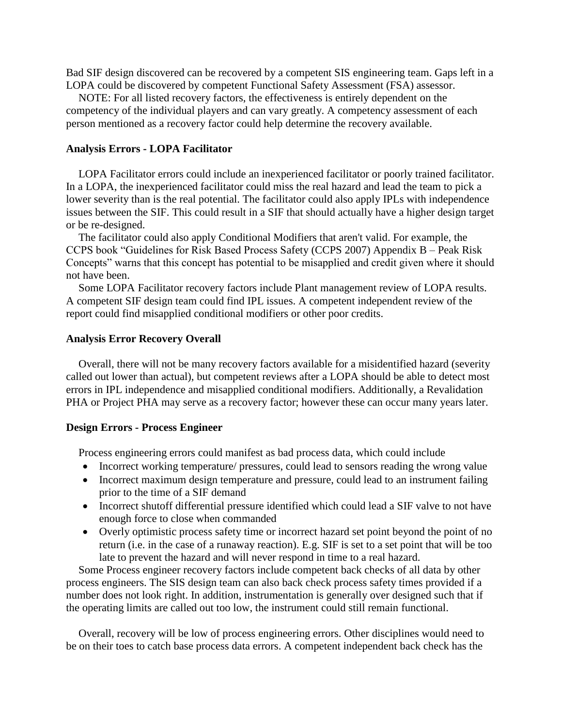Bad SIF design discovered can be recovered by a competent SIS engineering team. Gaps left in a LOPA could be discovered by competent Functional Safety Assessment (FSA) assessor.

NOTE: For all listed recovery factors, the effectiveness is entirely dependent on the competency of the individual players and can vary greatly. A competency assessment of each person mentioned as a recovery factor could help determine the recovery available.

#### **Analysis Errors - LOPA Facilitator**

LOPA Facilitator errors could include an inexperienced facilitator or poorly trained facilitator. In a LOPA, the inexperienced facilitator could miss the real hazard and lead the team to pick a lower severity than is the real potential. The facilitator could also apply IPLs with independence issues between the SIF. This could result in a SIF that should actually have a higher design target or be re-designed.

The facilitator could also apply Conditional Modifiers that aren't valid. For example, the CCPS book "Guidelines for Risk Based Process Safety (CCPS 2007) Appendix B – Peak Risk Concepts" warns that this concept has potential to be misapplied and credit given where it should not have been.

Some LOPA Facilitator recovery factors include Plant management review of LOPA results. A competent SIF design team could find IPL issues. A competent independent review of the report could find misapplied conditional modifiers or other poor credits.

#### **Analysis Error Recovery Overall**

Overall, there will not be many recovery factors available for a misidentified hazard (severity called out lower than actual), but competent reviews after a LOPA should be able to detect most errors in IPL independence and misapplied conditional modifiers. Additionally, a Revalidation PHA or Project PHA may serve as a recovery factor; however these can occur many years later.

#### **Design Errors - Process Engineer**

Process engineering errors could manifest as bad process data, which could include

- Incorrect working temperature/ pressures, could lead to sensors reading the wrong value
- Incorrect maximum design temperature and pressure, could lead to an instrument failing prior to the time of a SIF demand
- Incorrect shutoff differential pressure identified which could lead a SIF valve to not have enough force to close when commanded
- Overly optimistic process safety time or incorrect hazard set point beyond the point of no return (i.e. in the case of a runaway reaction). E.g. SIF is set to a set point that will be too late to prevent the hazard and will never respond in time to a real hazard.

Some Process engineer recovery factors include competent back checks of all data by other process engineers. The SIS design team can also back check process safety times provided if a number does not look right. In addition, instrumentation is generally over designed such that if the operating limits are called out too low, the instrument could still remain functional.

Overall, recovery will be low of process engineering errors. Other disciplines would need to be on their toes to catch base process data errors. A competent independent back check has the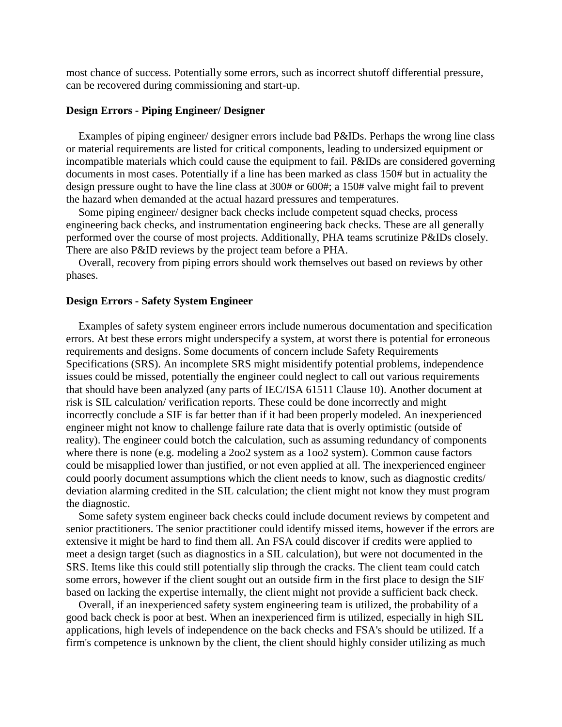most chance of success. Potentially some errors, such as incorrect shutoff differential pressure, can be recovered during commissioning and start-up.

#### **Design Errors - Piping Engineer/ Designer**

Examples of piping engineer/ designer errors include bad P&IDs. Perhaps the wrong line class or material requirements are listed for critical components, leading to undersized equipment or incompatible materials which could cause the equipment to fail. P&IDs are considered governing documents in most cases. Potentially if a line has been marked as class 150# but in actuality the design pressure ought to have the line class at 300# or 600#; a 150# valve might fail to prevent the hazard when demanded at the actual hazard pressures and temperatures.

Some piping engineer/ designer back checks include competent squad checks, process engineering back checks, and instrumentation engineering back checks. These are all generally performed over the course of most projects. Additionally, PHA teams scrutinize P&IDs closely. There are also P&ID reviews by the project team before a PHA.

Overall, recovery from piping errors should work themselves out based on reviews by other phases.

#### **Design Errors - Safety System Engineer**

Examples of safety system engineer errors include numerous documentation and specification errors. At best these errors might underspecify a system, at worst there is potential for erroneous requirements and designs. Some documents of concern include Safety Requirements Specifications (SRS). An incomplete SRS might misidentify potential problems, independence issues could be missed, potentially the engineer could neglect to call out various requirements that should have been analyzed (any parts of IEC/ISA 61511 Clause 10). Another document at risk is SIL calculation/ verification reports. These could be done incorrectly and might incorrectly conclude a SIF is far better than if it had been properly modeled. An inexperienced engineer might not know to challenge failure rate data that is overly optimistic (outside of reality). The engineer could botch the calculation, such as assuming redundancy of components where there is none (e.g. modeling a 2oo2 system as a 1oo2 system). Common cause factors could be misapplied lower than justified, or not even applied at all. The inexperienced engineer could poorly document assumptions which the client needs to know, such as diagnostic credits/ deviation alarming credited in the SIL calculation; the client might not know they must program the diagnostic.

Some safety system engineer back checks could include document reviews by competent and senior practitioners. The senior practitioner could identify missed items, however if the errors are extensive it might be hard to find them all. An FSA could discover if credits were applied to meet a design target (such as diagnostics in a SIL calculation), but were not documented in the SRS. Items like this could still potentially slip through the cracks. The client team could catch some errors, however if the client sought out an outside firm in the first place to design the SIF based on lacking the expertise internally, the client might not provide a sufficient back check.

Overall, if an inexperienced safety system engineering team is utilized, the probability of a good back check is poor at best. When an inexperienced firm is utilized, especially in high SIL applications, high levels of independence on the back checks and FSA's should be utilized. If a firm's competence is unknown by the client, the client should highly consider utilizing as much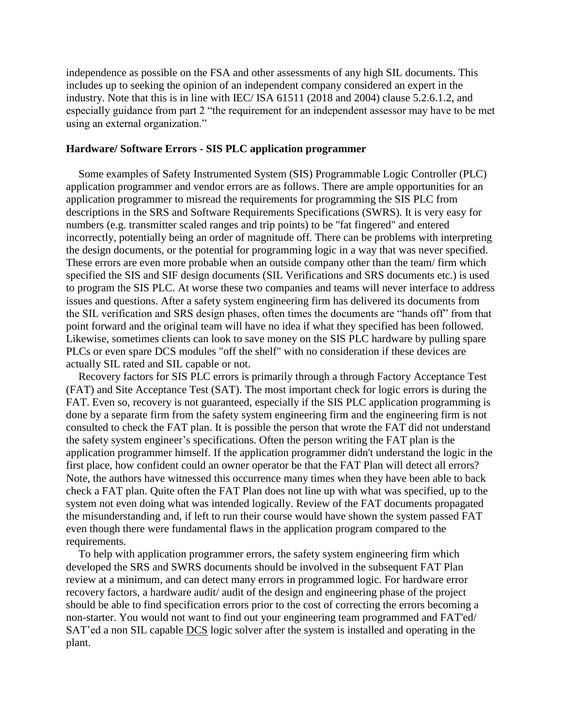independence as possible on the FSA and other assessments of any high SIL documents. This includes up to seeking the opinion of an independent company considered an expert in the industry. Note that this is in line with IEC/ ISA 61511 (2018 and 2004) clause 5.2.6.1.2, and especially guidance from part 2 "the requirement for an independent assessor may have to be met using an external organization."

#### **Hardware/ Software Errors - SIS PLC application programmer**

Some examples of Safety Instrumented System (SIS) Programmable Logic Controller (PLC) application programmer and vendor errors are as follows. There are ample opportunities for an application programmer to misread the requirements for programming the SIS PLC from descriptions in the SRS and Software Requirements Specifications (SWRS). It is very easy for numbers (e.g. transmitter scaled ranges and trip points) to be "fat fingered" and entered incorrectly, potentially being an order of magnitude off. There can be problems with interpreting the design documents, or the potential for programming logic in a way that was never specified. These errors are even more probable when an outside company other than the team/ firm which specified the SIS and SIF design documents (SIL Verifications and SRS documents etc.) is used to program the SIS PLC. At worse these two companies and teams will never interface to address issues and questions. After a safety system engineering firm has delivered its documents from the SIL verification and SRS design phases, often times the documents are "hands off" from that point forward and the original team will have no idea if what they specified has been followed. Likewise, sometimes clients can look to save money on the SIS PLC hardware by pulling spare PLCs or even spare DCS modules "off the shelf" with no consideration if these devices are actually SIL rated and SIL capable or not.

Recovery factors for SIS PLC errors is primarily through a through Factory Acceptance Test (FAT) and Site Acceptance Test (SAT). The most important check for logic errors is during the FAT. Even so, recovery is not guaranteed, especially if the SIS PLC application programming is done by a separate firm from the safety system engineering firm and the engineering firm is not consulted to check the FAT plan. It is possible the person that wrote the FAT did not understand the safety system engineer's specifications. Often the person writing the FAT plan is the application programmer himself. If the application programmer didn't understand the logic in the first place, how confident could an owner operator be that the FAT Plan will detect all errors? Note, the authors have witnessed this occurrence many times when they have been able to back check a FAT plan. Quite often the FAT Plan does not line up with what was specified, up to the system not even doing what was intended logically. Review of the FAT documents propagated the misunderstanding and, if left to run their course would have shown the system passed FAT even though there were fundamental flaws in the application program compared to the requirements.

To help with application programmer errors, the safety system engineering firm which developed the SRS and SWRS documents should be involved in the subsequent FAT Plan review at a minimum, and can detect many errors in programmed logic. For hardware error recovery factors, a hardware audit/ audit of the design and engineering phase of the project should be able to find specification errors prior to the cost of correcting the errors becoming a non-starter. You would not want to find out your engineering team programmed and FAT'ed/ SAT'ed a non SIL capable DCS logic solver after the system is installed and operating in the plant.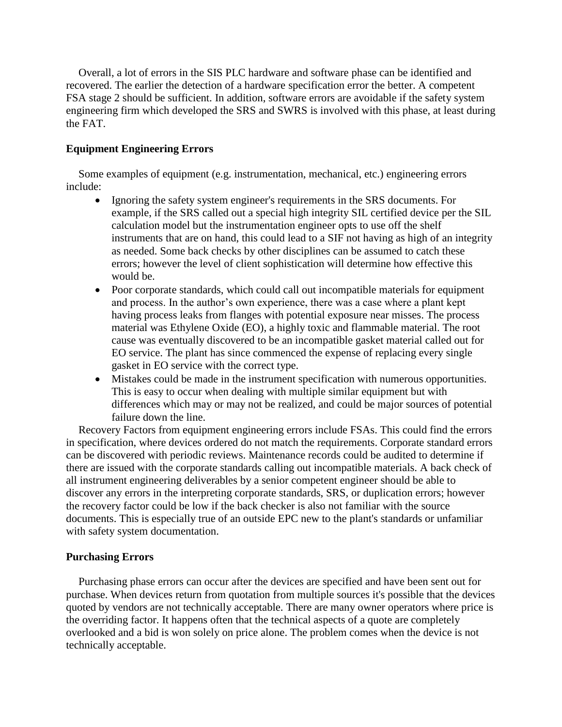Overall, a lot of errors in the SIS PLC hardware and software phase can be identified and recovered. The earlier the detection of a hardware specification error the better. A competent FSA stage 2 should be sufficient. In addition, software errors are avoidable if the safety system engineering firm which developed the SRS and SWRS is involved with this phase, at least during the FAT.

## **Equipment Engineering Errors**

Some examples of equipment (e.g. instrumentation, mechanical, etc.) engineering errors include:

- Ignoring the safety system engineer's requirements in the SRS documents. For example, if the SRS called out a special high integrity SIL certified device per the SIL calculation model but the instrumentation engineer opts to use off the shelf instruments that are on hand, this could lead to a SIF not having as high of an integrity as needed. Some back checks by other disciplines can be assumed to catch these errors; however the level of client sophistication will determine how effective this would be.
- Poor corporate standards, which could call out incompatible materials for equipment and process. In the author's own experience, there was a case where a plant kept having process leaks from flanges with potential exposure near misses. The process material was Ethylene Oxide (EO), a highly toxic and flammable material. The root cause was eventually discovered to be an incompatible gasket material called out for EO service. The plant has since commenced the expense of replacing every single gasket in EO service with the correct type.
- Mistakes could be made in the instrument specification with numerous opportunities. This is easy to occur when dealing with multiple similar equipment but with differences which may or may not be realized, and could be major sources of potential failure down the line.

Recovery Factors from equipment engineering errors include FSAs. This could find the errors in specification, where devices ordered do not match the requirements. Corporate standard errors can be discovered with periodic reviews. Maintenance records could be audited to determine if there are issued with the corporate standards calling out incompatible materials. A back check of all instrument engineering deliverables by a senior competent engineer should be able to discover any errors in the interpreting corporate standards, SRS, or duplication errors; however the recovery factor could be low if the back checker is also not familiar with the source documents. This is especially true of an outside EPC new to the plant's standards or unfamiliar with safety system documentation.

## **Purchasing Errors**

Purchasing phase errors can occur after the devices are specified and have been sent out for purchase. When devices return from quotation from multiple sources it's possible that the devices quoted by vendors are not technically acceptable. There are many owner operators where price is the overriding factor. It happens often that the technical aspects of a quote are completely overlooked and a bid is won solely on price alone. The problem comes when the device is not technically acceptable.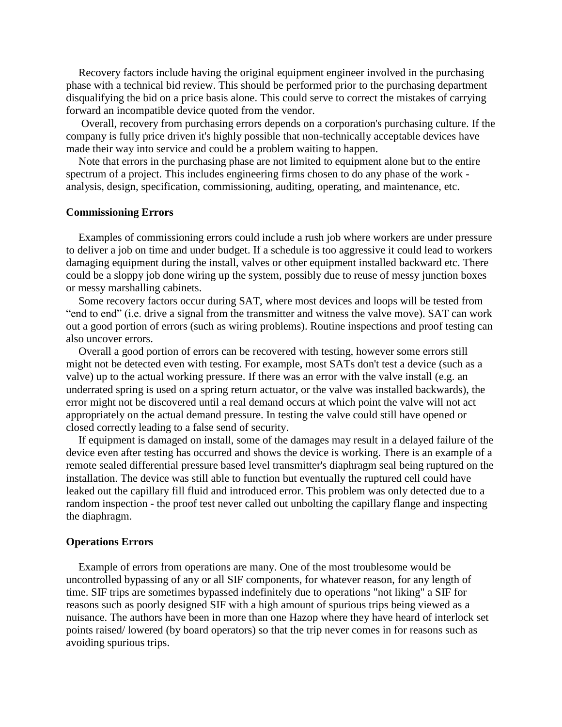Recovery factors include having the original equipment engineer involved in the purchasing phase with a technical bid review. This should be performed prior to the purchasing department disqualifying the bid on a price basis alone. This could serve to correct the mistakes of carrying forward an incompatible device quoted from the vendor.

Overall, recovery from purchasing errors depends on a corporation's purchasing culture. If the company is fully price driven it's highly possible that non-technically acceptable devices have made their way into service and could be a problem waiting to happen.

Note that errors in the purchasing phase are not limited to equipment alone but to the entire spectrum of a project. This includes engineering firms chosen to do any phase of the work analysis, design, specification, commissioning, auditing, operating, and maintenance, etc.

#### **Commissioning Errors**

Examples of commissioning errors could include a rush job where workers are under pressure to deliver a job on time and under budget. If a schedule is too aggressive it could lead to workers damaging equipment during the install, valves or other equipment installed backward etc. There could be a sloppy job done wiring up the system, possibly due to reuse of messy junction boxes or messy marshalling cabinets.

Some recovery factors occur during SAT, where most devices and loops will be tested from "end to end" (i.e. drive a signal from the transmitter and witness the valve move). SAT can work out a good portion of errors (such as wiring problems). Routine inspections and proof testing can also uncover errors.

Overall a good portion of errors can be recovered with testing, however some errors still might not be detected even with testing. For example, most SATs don't test a device (such as a valve) up to the actual working pressure. If there was an error with the valve install (e.g. an underrated spring is used on a spring return actuator, or the valve was installed backwards), the error might not be discovered until a real demand occurs at which point the valve will not act appropriately on the actual demand pressure. In testing the valve could still have opened or closed correctly leading to a false send of security.

If equipment is damaged on install, some of the damages may result in a delayed failure of the device even after testing has occurred and shows the device is working. There is an example of a remote sealed differential pressure based level transmitter's diaphragm seal being ruptured on the installation. The device was still able to function but eventually the ruptured cell could have leaked out the capillary fill fluid and introduced error. This problem was only detected due to a random inspection - the proof test never called out unbolting the capillary flange and inspecting the diaphragm.

#### **Operations Errors**

Example of errors from operations are many. One of the most troublesome would be uncontrolled bypassing of any or all SIF components, for whatever reason, for any length of time. SIF trips are sometimes bypassed indefinitely due to operations "not liking" a SIF for reasons such as poorly designed SIF with a high amount of spurious trips being viewed as a nuisance. The authors have been in more than one Hazop where they have heard of interlock set points raised/ lowered (by board operators) so that the trip never comes in for reasons such as avoiding spurious trips.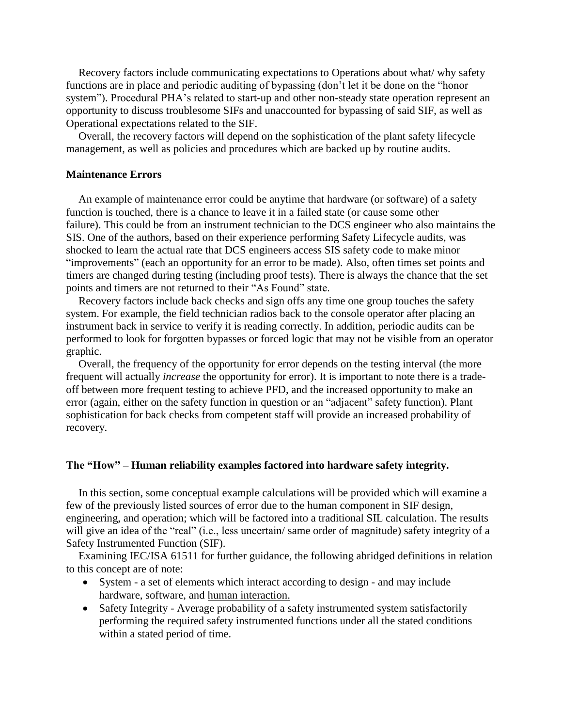Recovery factors include communicating expectations to Operations about what/ why safety functions are in place and periodic auditing of bypassing (don't let it be done on the "honor system"). Procedural PHA's related to start-up and other non-steady state operation represent an opportunity to discuss troublesome SIFs and unaccounted for bypassing of said SIF, as well as Operational expectations related to the SIF.

Overall, the recovery factors will depend on the sophistication of the plant safety lifecycle management, as well as policies and procedures which are backed up by routine audits.

#### **Maintenance Errors**

An example of maintenance error could be anytime that hardware (or software) of a safety function is touched, there is a chance to leave it in a failed state (or cause some other failure). This could be from an instrument technician to the DCS engineer who also maintains the SIS. One of the authors, based on their experience performing Safety Lifecycle audits, was shocked to learn the actual rate that DCS engineers access SIS safety code to make minor "improvements" (each an opportunity for an error to be made). Also, often times set points and timers are changed during testing (including proof tests). There is always the chance that the set points and timers are not returned to their "As Found" state.

Recovery factors include back checks and sign offs any time one group touches the safety system. For example, the field technician radios back to the console operator after placing an instrument back in service to verify it is reading correctly. In addition, periodic audits can be performed to look for forgotten bypasses or forced logic that may not be visible from an operator graphic.

Overall, the frequency of the opportunity for error depends on the testing interval (the more frequent will actually *increase* the opportunity for error). It is important to note there is a tradeoff between more frequent testing to achieve PFD, and the increased opportunity to make an error (again, either on the safety function in question or an "adjacent" safety function). Plant sophistication for back checks from competent staff will provide an increased probability of recovery.

#### **The "How" – Human reliability examples factored into hardware safety integrity.**

In this section, some conceptual example calculations will be provided which will examine a few of the previously listed sources of error due to the human component in SIF design, engineering, and operation; which will be factored into a traditional SIL calculation. The results will give an idea of the "real" (i.e., less uncertain/ same order of magnitude) safety integrity of a Safety Instrumented Function (SIF).

Examining IEC/ISA 61511 for further guidance, the following abridged definitions in relation to this concept are of note:

- System a set of elements which interact according to design and may include hardware, software, and human interaction.
- Safety Integrity Average probability of a safety instrumented system satisfactorily performing the required safety instrumented functions under all the stated conditions within a stated period of time.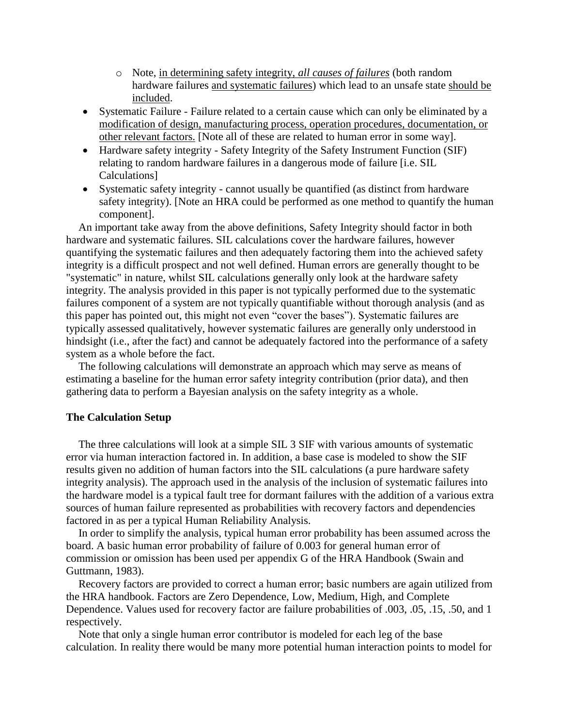- o Note, in determining safety integrity, *all causes of failures* (both random hardware failures and systematic failures) which lead to an unsafe state should be included.
- Systematic Failure Failure related to a certain cause which can only be eliminated by a modification of design, manufacturing process, operation procedures, documentation, or other relevant factors. [Note all of these are related to human error in some way].
- Hardware safety integrity Safety Integrity of the Safety Instrument Function (SIF) relating to random hardware failures in a dangerous mode of failure [i.e. SIL Calculations]
- Systematic safety integrity cannot usually be quantified (as distinct from hardware safety integrity). [Note an HRA could be performed as one method to quantify the human component].

An important take away from the above definitions, Safety Integrity should factor in both hardware and systematic failures. SIL calculations cover the hardware failures, however quantifying the systematic failures and then adequately factoring them into the achieved safety integrity is a difficult prospect and not well defined. Human errors are generally thought to be "systematic" in nature, whilst SIL calculations generally only look at the hardware safety integrity. The analysis provided in this paper is not typically performed due to the systematic failures component of a system are not typically quantifiable without thorough analysis (and as this paper has pointed out, this might not even "cover the bases"). Systematic failures are typically assessed qualitatively, however systematic failures are generally only understood in hindsight (i.e., after the fact) and cannot be adequately factored into the performance of a safety system as a whole before the fact.

The following calculations will demonstrate an approach which may serve as means of estimating a baseline for the human error safety integrity contribution (prior data), and then gathering data to perform a Bayesian analysis on the safety integrity as a whole.

#### **The Calculation Setup**

The three calculations will look at a simple SIL 3 SIF with various amounts of systematic error via human interaction factored in. In addition, a base case is modeled to show the SIF results given no addition of human factors into the SIL calculations (a pure hardware safety integrity analysis). The approach used in the analysis of the inclusion of systematic failures into the hardware model is a typical fault tree for dormant failures with the addition of a various extra sources of human failure represented as probabilities with recovery factors and dependencies factored in as per a typical Human Reliability Analysis.

In order to simplify the analysis, typical human error probability has been assumed across the board. A basic human error probability of failure of 0.003 for general human error of commission or omission has been used per appendix G of the HRA Handbook (Swain and Guttmann, 1983).

Recovery factors are provided to correct a human error; basic numbers are again utilized from the HRA handbook. Factors are Zero Dependence, Low, Medium, High, and Complete Dependence. Values used for recovery factor are failure probabilities of .003, .05, .15, .50, and 1 respectively.

Note that only a single human error contributor is modeled for each leg of the base calculation. In reality there would be many more potential human interaction points to model for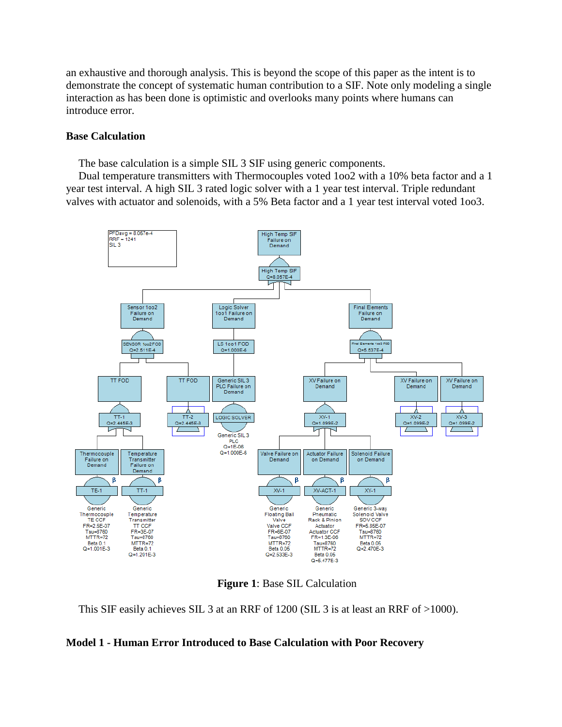an exhaustive and thorough analysis. This is beyond the scope of this paper as the intent is to demonstrate the concept of systematic human contribution to a SIF. Note only modeling a single interaction as has been done is optimistic and overlooks many points where humans can introduce error.

#### **Base Calculation**

The base calculation is a simple SIL 3 SIF using generic components.

Dual temperature transmitters with Thermocouples voted 1oo2 with a 10% beta factor and a 1 year test interval. A high SIL 3 rated logic solver with a 1 year test interval. Triple redundant valves with actuator and solenoids, with a 5% Beta factor and a 1 year test interval voted 1oo3.



**Figure 1**: Base SIL Calculation

This SIF easily achieves SIL 3 at an RRF of 1200 (SIL 3 is at least an RRF of >1000).

#### **Model 1 - Human Error Introduced to Base Calculation with Poor Recovery**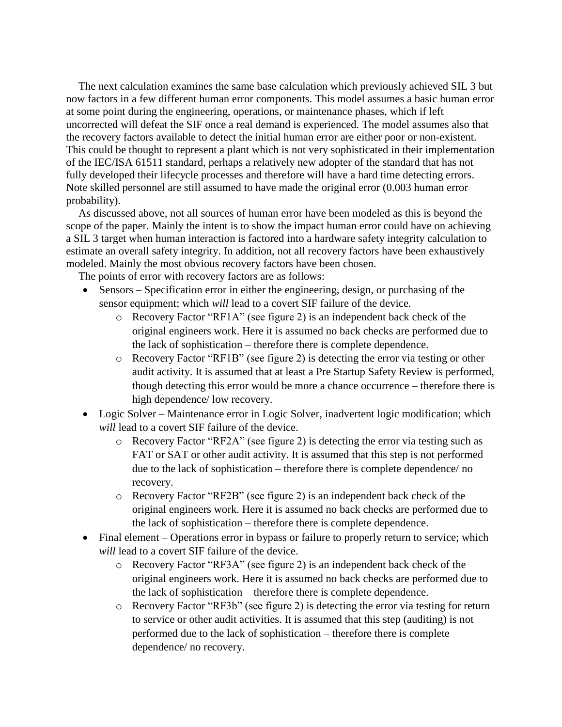The next calculation examines the same base calculation which previously achieved SIL 3 but now factors in a few different human error components. This model assumes a basic human error at some point during the engineering, operations, or maintenance phases, which if left uncorrected will defeat the SIF once a real demand is experienced. The model assumes also that the recovery factors available to detect the initial human error are either poor or non-existent. This could be thought to represent a plant which is not very sophisticated in their implementation of the IEC/ISA 61511 standard, perhaps a relatively new adopter of the standard that has not fully developed their lifecycle processes and therefore will have a hard time detecting errors. Note skilled personnel are still assumed to have made the original error (0.003 human error probability).

As discussed above, not all sources of human error have been modeled as this is beyond the scope of the paper. Mainly the intent is to show the impact human error could have on achieving a SIL 3 target when human interaction is factored into a hardware safety integrity calculation to estimate an overall safety integrity. In addition, not all recovery factors have been exhaustively modeled. Mainly the most obvious recovery factors have been chosen.

The points of error with recovery factors are as follows:

- Sensors Specification error in either the engineering, design, or purchasing of the sensor equipment; which *will* lead to a covert SIF failure of the device.
	- o Recovery Factor "RF1A" (see figure 2) is an independent back check of the original engineers work. Here it is assumed no back checks are performed due to the lack of sophistication – therefore there is complete dependence.
	- o Recovery Factor "RF1B" (see figure 2) is detecting the error via testing or other audit activity. It is assumed that at least a Pre Startup Safety Review is performed, though detecting this error would be more a chance occurrence – therefore there is high dependence/ low recovery.
- Logic Solver Maintenance error in Logic Solver, inadvertent logic modification; which *will* lead to a covert SIF failure of the device.
	- o Recovery Factor "RF2A" (see figure 2) is detecting the error via testing such as FAT or SAT or other audit activity. It is assumed that this step is not performed due to the lack of sophistication – therefore there is complete dependence/ no recovery.
	- o Recovery Factor "RF2B" (see figure 2) is an independent back check of the original engineers work. Here it is assumed no back checks are performed due to the lack of sophistication – therefore there is complete dependence.
- Final element Operations error in bypass or failure to properly return to service; which *will* lead to a covert SIF failure of the device.
	- o Recovery Factor "RF3A" (see figure 2) is an independent back check of the original engineers work. Here it is assumed no back checks are performed due to the lack of sophistication – therefore there is complete dependence.
	- o Recovery Factor "RF3b" (see figure 2) is detecting the error via testing for return to service or other audit activities. It is assumed that this step (auditing) is not performed due to the lack of sophistication – therefore there is complete dependence/ no recovery.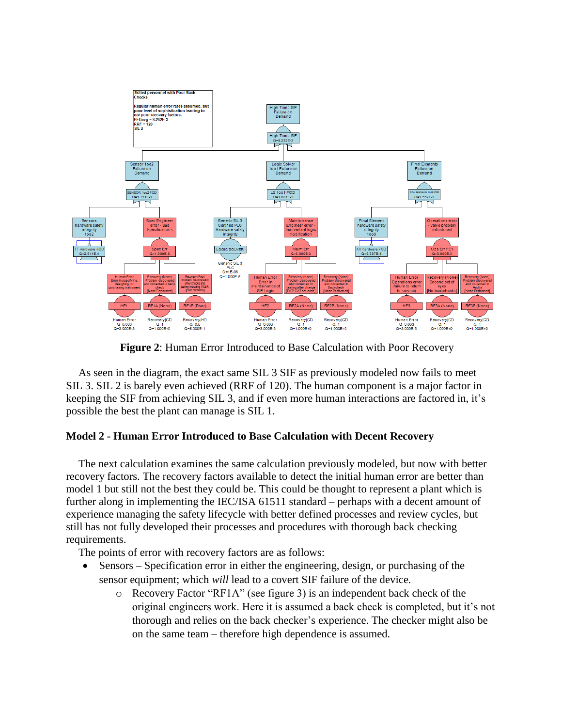

**Figure 2**: Human Error Introduced to Base Calculation with Poor Recovery

As seen in the diagram, the exact same SIL 3 SIF as previously modeled now fails to meet SIL 3. SIL 2 is barely even achieved (RRF of 120). The human component is a major factor in keeping the SIF from achieving SIL 3, and if even more human interactions are factored in, it's possible the best the plant can manage is SIL 1.

## **Model 2 - Human Error Introduced to Base Calculation with Decent Recovery**

The next calculation examines the same calculation previously modeled, but now with better recovery factors. The recovery factors available to detect the initial human error are better than model 1 but still not the best they could be. This could be thought to represent a plant which is further along in implementing the IEC/ISA 61511 standard – perhaps with a decent amount of experience managing the safety lifecycle with better defined processes and review cycles, but still has not fully developed their processes and procedures with thorough back checking requirements.

The points of error with recovery factors are as follows:

- Sensors Specification error in either the engineering, design, or purchasing of the sensor equipment; which *will* lead to a covert SIF failure of the device.
	- o Recovery Factor "RF1A" (see figure 3) is an independent back check of the original engineers work. Here it is assumed a back check is completed, but it's not thorough and relies on the back checker's experience. The checker might also be on the same team – therefore high dependence is assumed.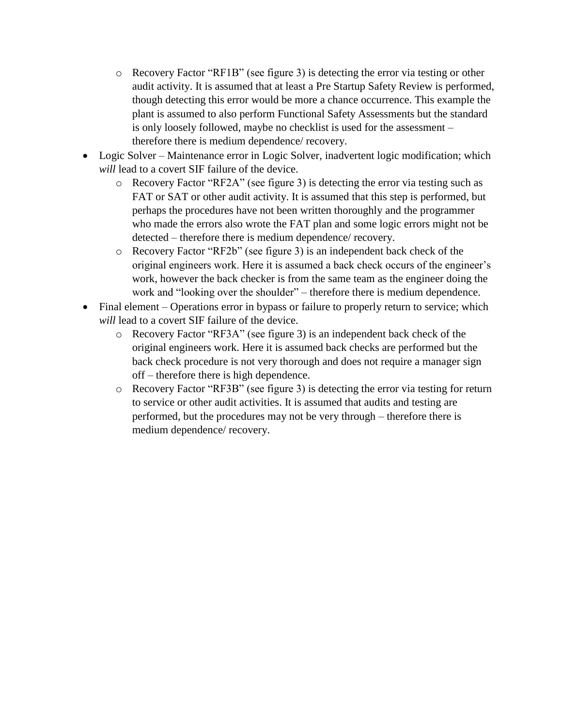- $\circ$  Recovery Factor "RF1B" (see figure 3) is detecting the error via testing or other audit activity. It is assumed that at least a Pre Startup Safety Review is performed, though detecting this error would be more a chance occurrence. This example the plant is assumed to also perform Functional Safety Assessments but the standard is only loosely followed, maybe no checklist is used for the assessment – therefore there is medium dependence/ recovery.
- Logic Solver Maintenance error in Logic Solver, inadvertent logic modification; which *will* lead to a covert SIF failure of the device.
	- o Recovery Factor "RF2A" (see figure 3) is detecting the error via testing such as FAT or SAT or other audit activity. It is assumed that this step is performed, but perhaps the procedures have not been written thoroughly and the programmer who made the errors also wrote the FAT plan and some logic errors might not be detected – therefore there is medium dependence/ recovery.
	- o Recovery Factor "RF2b" (see figure 3) is an independent back check of the original engineers work. Here it is assumed a back check occurs of the engineer's work, however the back checker is from the same team as the engineer doing the work and "looking over the shoulder" – therefore there is medium dependence.
- Final element Operations error in bypass or failure to properly return to service; which *will* lead to a covert SIF failure of the device.
	- o Recovery Factor "RF3A" (see figure 3) is an independent back check of the original engineers work. Here it is assumed back checks are performed but the back check procedure is not very thorough and does not require a manager sign off – therefore there is high dependence.
	- o Recovery Factor "RF3B" (see figure 3) is detecting the error via testing for return to service or other audit activities. It is assumed that audits and testing are performed, but the procedures may not be very through – therefore there is medium dependence/ recovery.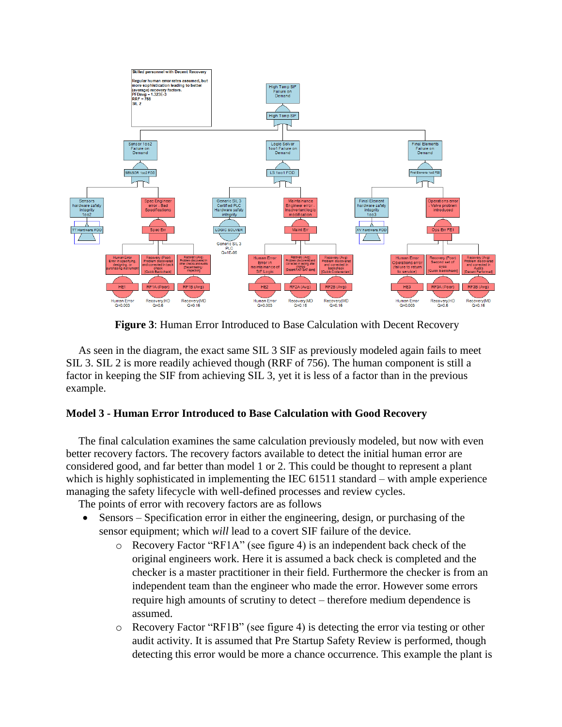

**Figure 3**: Human Error Introduced to Base Calculation with Decent Recovery

As seen in the diagram, the exact same SIL 3 SIF as previously modeled again fails to meet SIL 3. SIL 2 is more readily achieved though (RRF of 756). The human component is still a factor in keeping the SIF from achieving SIL 3, yet it is less of a factor than in the previous example.

## **Model 3 - Human Error Introduced to Base Calculation with Good Recovery**

The final calculation examines the same calculation previously modeled, but now with even better recovery factors. The recovery factors available to detect the initial human error are considered good, and far better than model 1 or 2. This could be thought to represent a plant which is highly sophisticated in implementing the IEC 61511 standard – with ample experience managing the safety lifecycle with well-defined processes and review cycles.

The points of error with recovery factors are as follows

- Sensors Specification error in either the engineering, design, or purchasing of the sensor equipment; which *will* lead to a covert SIF failure of the device.
	- o Recovery Factor "RF1A" (see figure 4) is an independent back check of the original engineers work. Here it is assumed a back check is completed and the checker is a master practitioner in their field. Furthermore the checker is from an independent team than the engineer who made the error. However some errors require high amounts of scrutiny to detect – therefore medium dependence is assumed.
	- $\circ$  Recovery Factor "RF1B" (see figure 4) is detecting the error via testing or other audit activity. It is assumed that Pre Startup Safety Review is performed, though detecting this error would be more a chance occurrence. This example the plant is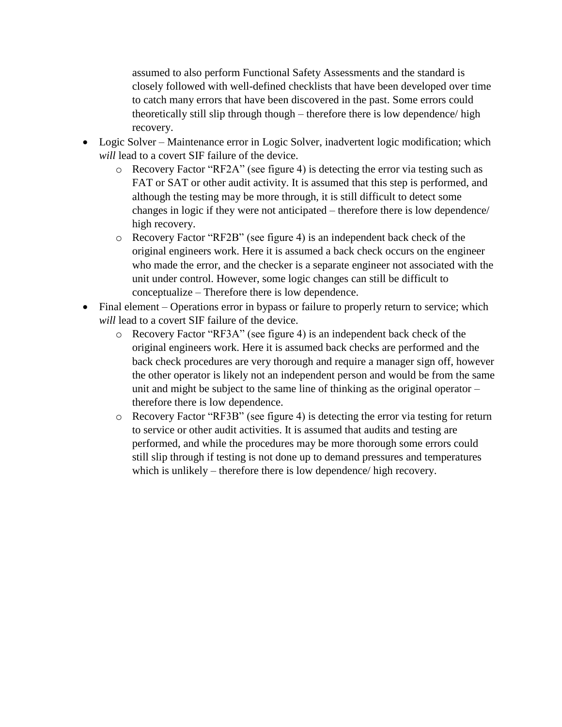assumed to also perform Functional Safety Assessments and the standard is closely followed with well-defined checklists that have been developed over time to catch many errors that have been discovered in the past. Some errors could theoretically still slip through though – therefore there is low dependence/ high recovery.

- Logic Solver Maintenance error in Logic Solver, inadvertent logic modification; which *will* lead to a covert SIF failure of the device.
	- o Recovery Factor "RF2A" (see figure 4) is detecting the error via testing such as FAT or SAT or other audit activity. It is assumed that this step is performed, and although the testing may be more through, it is still difficult to detect some changes in logic if they were not anticipated – therefore there is low dependence/ high recovery.
	- o Recovery Factor "RF2B" (see figure 4) is an independent back check of the original engineers work. Here it is assumed a back check occurs on the engineer who made the error, and the checker is a separate engineer not associated with the unit under control. However, some logic changes can still be difficult to conceptualize – Therefore there is low dependence.
- Final element Operations error in bypass or failure to properly return to service; which *will* lead to a covert SIF failure of the device.
	- o Recovery Factor "RF3A" (see figure 4) is an independent back check of the original engineers work. Here it is assumed back checks are performed and the back check procedures are very thorough and require a manager sign off, however the other operator is likely not an independent person and would be from the same unit and might be subject to the same line of thinking as the original operator – therefore there is low dependence.
	- o Recovery Factor "RF3B" (see figure 4) is detecting the error via testing for return to service or other audit activities. It is assumed that audits and testing are performed, and while the procedures may be more thorough some errors could still slip through if testing is not done up to demand pressures and temperatures which is unlikely – therefore there is low dependence/ high recovery.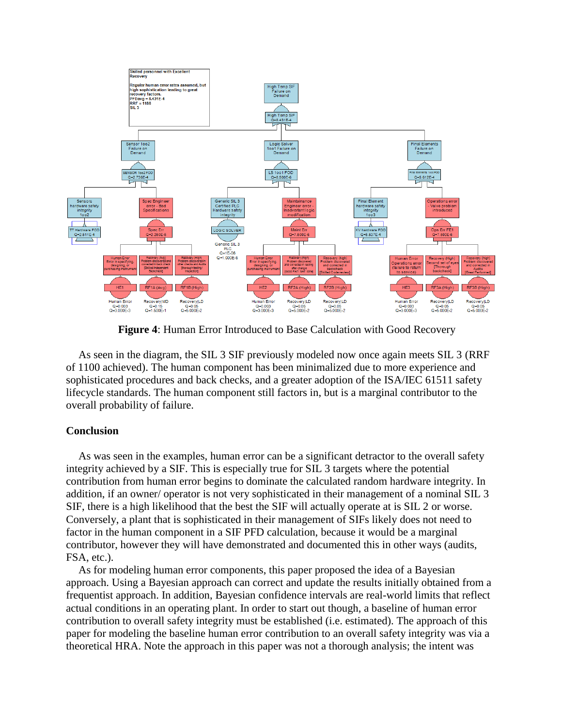

**Figure 4**: Human Error Introduced to Base Calculation with Good Recovery

As seen in the diagram, the SIL 3 SIF previously modeled now once again meets SIL 3 (RRF of 1100 achieved). The human component has been minimalized due to more experience and sophisticated procedures and back checks, and a greater adoption of the ISA/IEC 61511 safety lifecycle standards. The human component still factors in, but is a marginal contributor to the overall probability of failure.

## **Conclusion**

As was seen in the examples, human error can be a significant detractor to the overall safety integrity achieved by a SIF. This is especially true for SIL 3 targets where the potential contribution from human error begins to dominate the calculated random hardware integrity. In addition, if an owner/ operator is not very sophisticated in their management of a nominal SIL 3 SIF, there is a high likelihood that the best the SIF will actually operate at is SIL 2 or worse. Conversely, a plant that is sophisticated in their management of SIFs likely does not need to factor in the human component in a SIF PFD calculation, because it would be a marginal contributor, however they will have demonstrated and documented this in other ways (audits, FSA, etc.).

As for modeling human error components, this paper proposed the idea of a Bayesian approach. Using a Bayesian approach can correct and update the results initially obtained from a frequentist approach. In addition, Bayesian confidence intervals are real-world limits that reflect actual conditions in an operating plant. In order to start out though, a baseline of human error contribution to overall safety integrity must be established (i.e. estimated). The approach of this paper for modeling the baseline human error contribution to an overall safety integrity was via a theoretical HRA. Note the approach in this paper was not a thorough analysis; the intent was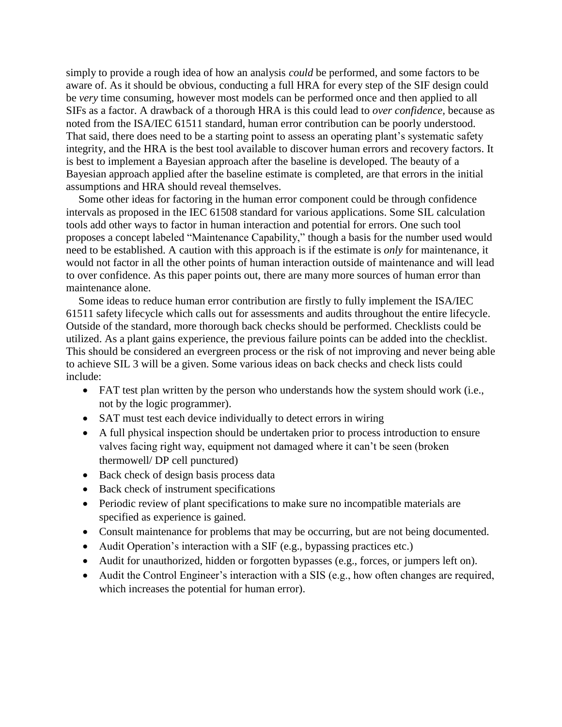simply to provide a rough idea of how an analysis *could* be performed, and some factors to be aware of. As it should be obvious, conducting a full HRA for every step of the SIF design could be *very* time consuming, however most models can be performed once and then applied to all SIFs as a factor. A drawback of a thorough HRA is this could lead to *over confidence,* because as noted from the ISA/IEC 61511 standard, human error contribution can be poorly understood. That said, there does need to be a starting point to assess an operating plant's systematic safety integrity, and the HRA is the best tool available to discover human errors and recovery factors. It is best to implement a Bayesian approach after the baseline is developed. The beauty of a Bayesian approach applied after the baseline estimate is completed, are that errors in the initial assumptions and HRA should reveal themselves.

Some other ideas for factoring in the human error component could be through confidence intervals as proposed in the IEC 61508 standard for various applications. Some SIL calculation tools add other ways to factor in human interaction and potential for errors. One such tool proposes a concept labeled "Maintenance Capability," though a basis for the number used would need to be established. A caution with this approach is if the estimate is *only* for maintenance, it would not factor in all the other points of human interaction outside of maintenance and will lead to over confidence. As this paper points out, there are many more sources of human error than maintenance alone.

Some ideas to reduce human error contribution are firstly to fully implement the ISA/IEC 61511 safety lifecycle which calls out for assessments and audits throughout the entire lifecycle. Outside of the standard, more thorough back checks should be performed. Checklists could be utilized. As a plant gains experience, the previous failure points can be added into the checklist. This should be considered an evergreen process or the risk of not improving and never being able to achieve SIL 3 will be a given. Some various ideas on back checks and check lists could include:

- FAT test plan written by the person who understands how the system should work (i.e., not by the logic programmer).
- SAT must test each device individually to detect errors in wiring
- A full physical inspection should be undertaken prior to process introduction to ensure valves facing right way, equipment not damaged where it can't be seen (broken thermowell/ DP cell punctured)
- Back check of design basis process data
- Back check of instrument specifications
- Periodic review of plant specifications to make sure no incompatible materials are specified as experience is gained.
- Consult maintenance for problems that may be occurring, but are not being documented.
- Audit Operation's interaction with a SIF (e.g., bypassing practices etc.)
- Audit for unauthorized, hidden or forgotten bypasses (e.g., forces, or jumpers left on).
- Audit the Control Engineer's interaction with a SIS (e.g., how often changes are required, which increases the potential for human error).